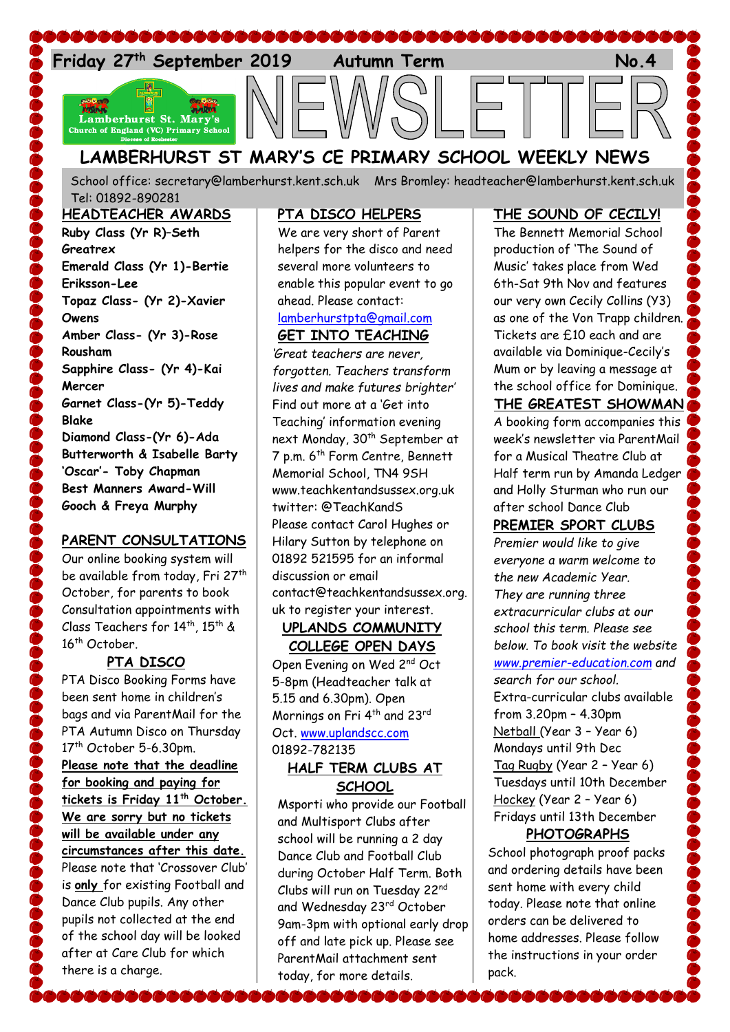

# **LAMBERHURST ST MARY'S CE PRIMARY SCHOOL WEEKLY NEWS**

School office: [secretary@lamberhurst.kent.sch.uk](mailto:secretary@lamberhurst.kent.sch.uk) Mrs Bromley: headteacher@lamberhurst.kent.sch.uk Tel: 01892-890281

**HEADTEACHER AWARDS Ruby Class (Yr R)–Seth Greatrex Emerald Class (Yr 1)-Bertie Eriksson-Lee Topaz Class- (Yr 2)-Xavier Owens Amber Class- (Yr 3)-Rose Rousham Sapphire Class- (Yr 4)-Kai Mercer Garnet Class-(Yr 5)-Teddy Blake Diamond Class-(Yr 6)-Ada Butterworth & Isabelle Barty 'Oscar'- Toby Chapman Best Manners Award-Will Gooch & Freya Murphy**

# **PARENT CONSULTATIONS**

Our online booking system will be available from today, Fri 27<sup>th</sup> October, for parents to book Consultation appointments with Class Teachers for 14<sup>th</sup>, 15<sup>th</sup> & 16<sup>th</sup> October.

# **PTA DISCO**

PTA Disco Booking Forms have been sent home in children's bags and via ParentMail for the PTA Autumn Disco on Thursday 17<sup>th</sup> October 5-6.30pm. **Please note that the deadline for booking and paying for tickets is Friday 11th October. We are sorry but no tickets will be available under any circumstances after this date.** Please note that 'Crossover Club' is **only** for existing Football and Dance Club pupils. Any other pupils not collected at the end of the school day will be looked after at Care Club for which there is a charge.

................

## **PTA DISCO HELPERS**

We are very short of Parent helpers for the disco and need several more volunteers to enable this popular event to go ahead. Please contact:

#### [lamberhurstpta@gmail.com](mailto:lamberhurstpta@gmail.com) **GET INTO TEACHING**

*'Great teachers are never, forgotten. Teachers transform lives and make futures brighter'* Find out more at a 'Get into Teaching' information evening next Monday, 30<sup>th</sup> September at 7 p.m. 6th Form Centre, Bennett Memorial School, TN4 9SH www.teachkentandsussex.org.uk twitter: @TeachKandS Please contact Carol Hughes or Hilary Sutton by telephone on 01892 521595 for an informal discussion or email contact@teachkentandsussex.org. uk to register your interest.

### **UPLANDS COMMUNITY COLLEGE OPEN DAYS**

Open Evening on Wed 2nd Oct 5-8pm (Headteacher talk at 5.15 and 6.30pm). Open Mornings on Fri 4<sup>th</sup> and 23rd Oct. [www.uplandscc.com](http://www.uplandscc.com/) 01892-782135

#### **HALF TERM CLUBS AT SCHOOL**

Msporti who provide our Football and Multisport Clubs after school will be running a 2 day Dance Club and Football Club during October Half Term. Both Clubs will run on Tuesday 22nd and Wednesday 23<sup>rd</sup> October 9am-3pm with optional early drop off and late pick up. Please see ParentMail attachment sent today, for more details.

# **THE SOUND OF CECILY!**

The Bennett Memorial School production of 'The Sound of Music' takes place from Wed 6th-Sat 9th Nov and features our very own Cecily Collins (Y3) as one of the Von Trapp children. Tickets are £10 each and are available via Dominique-Cecily's Mum or by leaving a message at the school office for Dominique. **THE GREATEST SHOWMAN** 

# A booking form accompanies this

week's newsletter via ParentMail for a Musical Theatre Club at Half term run by Amanda Ledger and Holly Sturman who run our after school Dance Club

# **PREMIER SPORT CLUBS**

*Premier would like to give everyone a warm welcome to the new Academic Year. They are running three extracurricular clubs at our school this term. Please see below. To book visit the website [www.premier-education.com](http://www.premier-education.com/) and search for our school.* Extra-curricular clubs available from 3.20pm – 4.30pm Netball (Year 3 – Year 6) Mondays until 9th Dec Tag Rugby (Year 2 – Year 6) Tuesdays until 10th December Hockey (Year 2 – Year 6) Fridays until 13th December

## **PHOTOGRAPHS**

School photograph proof packs and ordering details have been sent home with every child today. Please note that online orders can be delivered to home addresses. Please follow the instructions in your order pack.

**.........**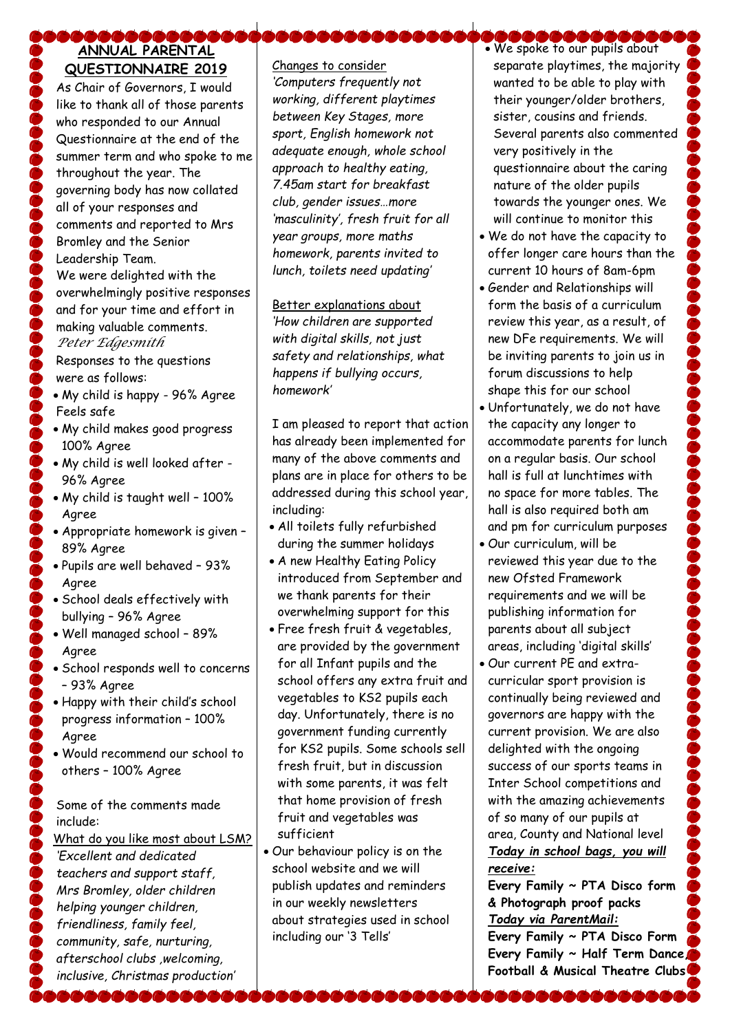# ABBABA **ANNUAL PARENTAL QUESTIONNAIRE 2019**

As Chair of Governors, I would like to thank all of those parents who responded to our Annual Questionnaire at the end of the summer term and who spoke to me throughout the year. The governing body has now collated all of your responses and comments and reported to Mrs Bromley and the Senior Leadership Team.

We were delighted with the overwhelmingly positive responses and for your time and effort in making valuable comments. *Peter Edgesmith*

Responses to the questions were as follows:

- My child is happy 96% Agree Feels safe
- My child makes good progress 100% Agree
- My child is well looked after 96% Agree
- My child is taught well 100% Agree
- Appropriate homework is given 89% Agree
- Pupils are well behaved 93% Agree
- School deals effectively with bullying – 96% Agree
- Well managed school 89% Agree
- School responds well to concerns – 93% Agree
- Happy with their child's school progress information – 100% Agree
- Would recommend our school to others – 100% Agree

Some of the comments made include:

What do you like most about LSM? *'Excellent and dedicated teachers and support staff, Mrs Bromley, older children helping younger children, friendliness, family feel, community, safe, nurturing, afterschool clubs ,welcoming, inclusive, Christmas production'*

Changes to consider *'Computers frequently not working, different playtimes between Key Stages, more sport, English homework not adequate enough, whole school approach to healthy eating, 7.45am start for breakfast club, gender issues…more 'masculinity', fresh fruit for all year groups, more maths homework, parents invited to lunch, toilets need updating'*

# Better explanations about

*'How children are supported with digital skills, not just safety and relationships, what happens if bullying occurs, homework'*

I am pleased to report that action has already been implemented for many of the above comments and plans are in place for others to be addressed during this school year, including:

- All toilets fully refurbished during the summer holidays
- A new Healthy Eating Policy introduced from September and we thank parents for their overwhelming support for this
- Free fresh fruit & vegetables, are provided by the government for all Infant pupils and the school offers any extra fruit and vegetables to KS2 pupils each day. Unfortunately, there is no government funding currently for KS2 pupils. Some schools sell fresh fruit, but in discussion with some parents, it was felt that home provision of fresh fruit and vegetables was sufficient
- Our behaviour policy is on the school website and we will publish updates and reminders in our weekly newsletters about strategies used in school including our '3 Tells'
- **DOOOOOOOOOOO**<br>• We spoke to our pupils about separate playtimes, the majority wanted to be able to play with their younger/older brothers, sister, cousins and friends. Several parents also commented very positively in the questionnaire about the caring nature of the older pupils towards the younger ones. We will continue to monitor this
- We do not have the capacity to offer longer care hours than the current 10 hours of 8am-6pm
- Gender and Relationships will form the basis of a curriculum review this year, as a result, of new DFe requirements. We will be inviting parents to join us in forum discussions to help shape this for our school
- Unfortunately, we do not have the capacity any longer to accommodate parents for lunch on a regular basis. Our school hall is full at lunchtimes with no space for more tables. The hall is also required both am and pm for curriculum purposes
- Our curriculum, will be reviewed this year due to the new Ofsted Framework requirements and we will be publishing information for parents about all subject areas, including 'digital skills'
- Our current PE and extracurricular sport provision is continually being reviewed and governors are happy with the current provision. We are also delighted with the ongoing success of our sports teams in Inter School competitions and with the amazing achievements of so many of our pupils at area, County and National level *Today in school bags, you will receive:*

**Every Family ~ PTA Disco form & Photograph proof packs** *Today via ParentMail:*

**Every Family ~ PTA Disco Form Every Family ~ Half Term Dance, Football & Musical Theatre Clubs**